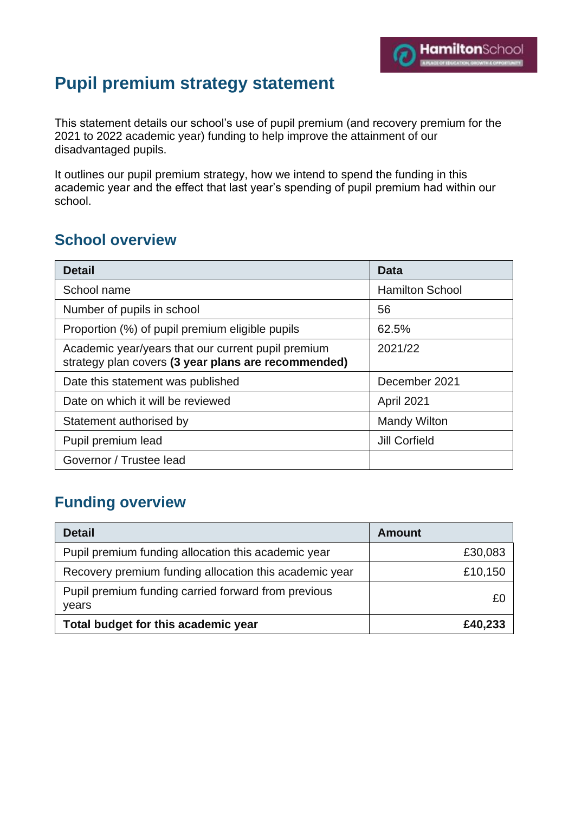# **Pupil premium strategy statement**

This statement details our school's use of pupil premium (and recovery premium for the 2021 to 2022 academic year) funding to help improve the attainment of our disadvantaged pupils.

It outlines our pupil premium strategy, how we intend to spend the funding in this academic year and the effect that last year's spending of pupil premium had within our school.

### **School overview**

| <b>Detail</b>                                                                                             | Data                   |
|-----------------------------------------------------------------------------------------------------------|------------------------|
| School name                                                                                               | <b>Hamilton School</b> |
| Number of pupils in school                                                                                | 56                     |
| Proportion (%) of pupil premium eligible pupils                                                           | 62.5%                  |
| Academic year/years that our current pupil premium<br>strategy plan covers (3 year plans are recommended) | 2021/22                |
| Date this statement was published                                                                         | December 2021          |
| Date on which it will be reviewed                                                                         | April 2021             |
| Statement authorised by                                                                                   | <b>Mandy Wilton</b>    |
| Pupil premium lead                                                                                        | <b>Jill Corfield</b>   |
| Governor / Trustee lead                                                                                   |                        |

## **Funding overview**

| <b>Detail</b>                                                | <b>Amount</b> |
|--------------------------------------------------------------|---------------|
| Pupil premium funding allocation this academic year          | £30,083       |
| Recovery premium funding allocation this academic year       | £10,150       |
| Pupil premium funding carried forward from previous<br>years | £0            |
| Total budget for this academic year                          | £40,233       |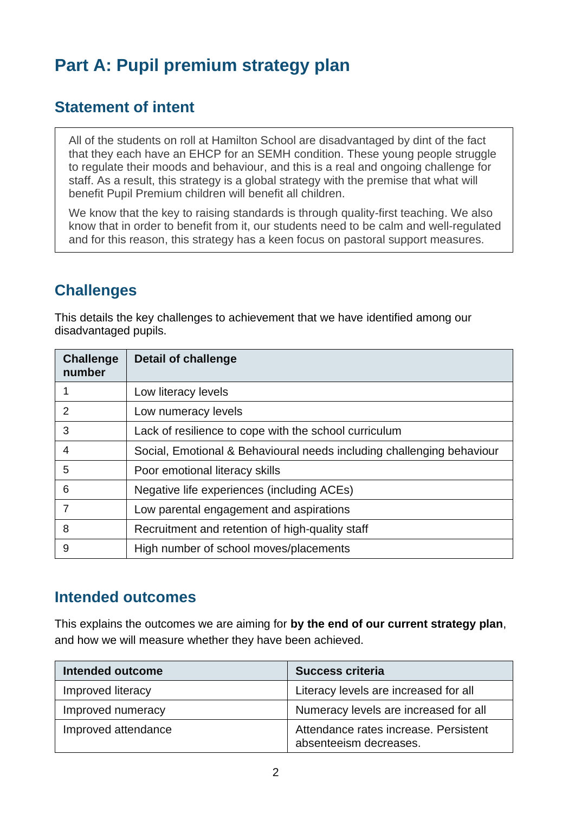# **Part A: Pupil premium strategy plan**

### **Statement of intent**

All of the students on roll at Hamilton School are disadvantaged by dint of the fact that they each have an EHCP for an SEMH condition. These young people struggle to regulate their moods and behaviour, and this is a real and ongoing challenge for staff. As a result, this strategy is a global strategy with the premise that what will benefit Pupil Premium children will benefit all children.

We know that the key to raising standards is through quality-first teaching. We also know that in order to benefit from it, our students need to be calm and well-regulated and for this reason, this strategy has a keen focus on pastoral support measures.

### **Challenges**

This details the key challenges to achievement that we have identified among our disadvantaged pupils.

| <b>Challenge</b><br>number | <b>Detail of challenge</b>                                            |
|----------------------------|-----------------------------------------------------------------------|
|                            | Low literacy levels                                                   |
| 2                          | Low numeracy levels                                                   |
| 3                          | Lack of resilience to cope with the school curriculum                 |
| 4                          | Social, Emotional & Behavioural needs including challenging behaviour |
| 5                          | Poor emotional literacy skills                                        |
| 6                          | Negative life experiences (including ACEs)                            |
| 7                          | Low parental engagement and aspirations                               |
| 8                          | Recruitment and retention of high-quality staff                       |
| 9                          | High number of school moves/placements                                |

#### **Intended outcomes**

This explains the outcomes we are aiming for **by the end of our current strategy plan**, and how we will measure whether they have been achieved.

| <b>Intended outcome</b> | <b>Success criteria</b>                                         |
|-------------------------|-----------------------------------------------------------------|
| Improved literacy       | Literacy levels are increased for all                           |
| Improved numeracy       | Numeracy levels are increased for all                           |
| Improved attendance     | Attendance rates increase. Persistent<br>absenteeism decreases. |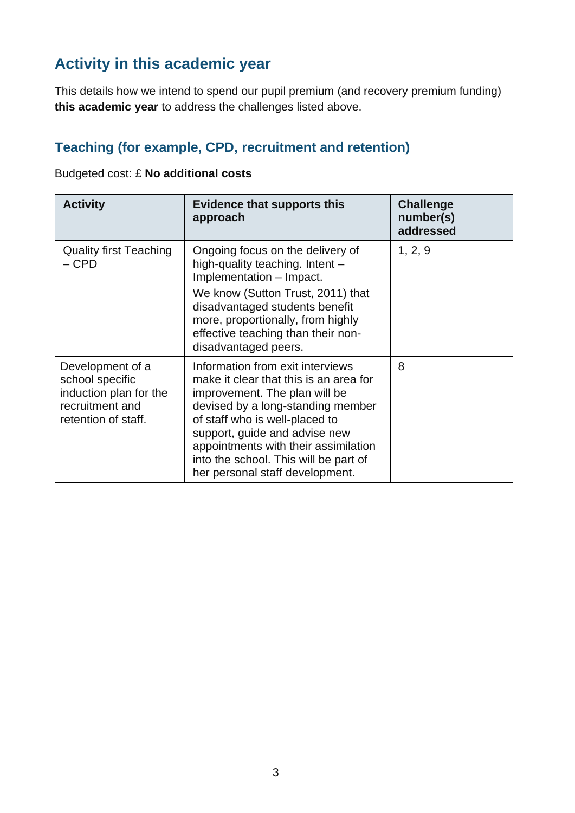# **Activity in this academic year**

This details how we intend to spend our pupil premium (and recovery premium funding) **this academic year** to address the challenges listed above.

#### **Teaching (for example, CPD, recruitment and retention)**

| Budgeted cost: £ No additional costs |  |  |  |  |
|--------------------------------------|--|--|--|--|
|--------------------------------------|--|--|--|--|

| <b>Activity</b>                                                                                         | <b>Evidence that supports this</b><br>approach                                                                                                                                                                                                                                                                                          | <b>Challenge</b><br>number(s)<br>addressed |
|---------------------------------------------------------------------------------------------------------|-----------------------------------------------------------------------------------------------------------------------------------------------------------------------------------------------------------------------------------------------------------------------------------------------------------------------------------------|--------------------------------------------|
| <b>Quality first Teaching</b><br>$-CPD$                                                                 | Ongoing focus on the delivery of<br>high-quality teaching. Intent -<br>Implementation - Impact.<br>We know (Sutton Trust, 2011) that<br>disadvantaged students benefit<br>more, proportionally, from highly<br>effective teaching than their non-<br>disadvantaged peers.                                                               | 1, 2, 9                                    |
| Development of a<br>school specific<br>induction plan for the<br>recruitment and<br>retention of staff. | Information from exit interviews<br>make it clear that this is an area for<br>improvement. The plan will be<br>devised by a long-standing member<br>of staff who is well-placed to<br>support, guide and advise new<br>appointments with their assimilation<br>into the school. This will be part of<br>her personal staff development. | 8                                          |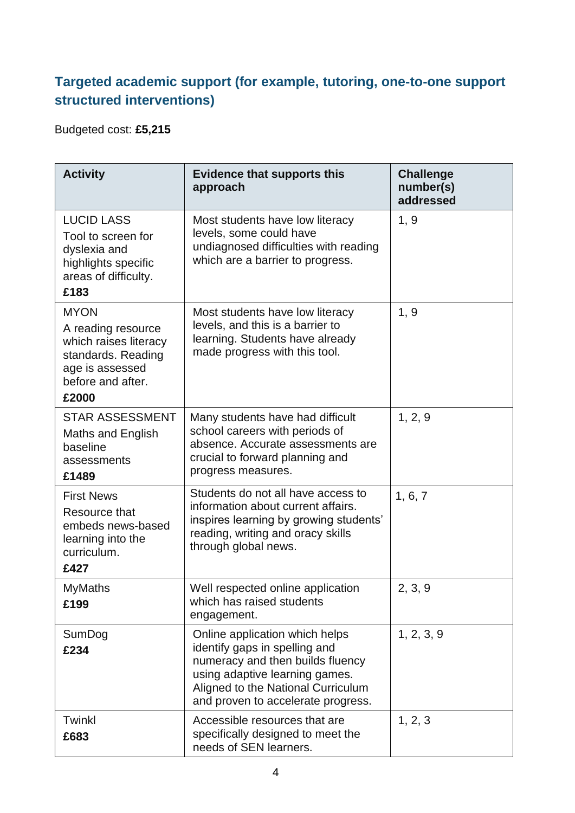#### **Targeted academic support (for example, tutoring, one-to-one support structured interventions)**

Budgeted cost: **£5,215**

| <b>Activity</b>                                                                                                                   | <b>Evidence that supports this</b><br>approach                                                                                                                                                                    | <b>Challenge</b><br>number(s)<br>addressed |
|-----------------------------------------------------------------------------------------------------------------------------------|-------------------------------------------------------------------------------------------------------------------------------------------------------------------------------------------------------------------|--------------------------------------------|
| <b>LUCID LASS</b><br>Tool to screen for<br>dyslexia and<br>highlights specific<br>areas of difficulty.<br>£183                    | Most students have low literacy<br>levels, some could have<br>undiagnosed difficulties with reading<br>which are a barrier to progress.                                                                           | 1, 9                                       |
| <b>MYON</b><br>A reading resource<br>which raises literacy<br>standards. Reading<br>age is assessed<br>before and after.<br>£2000 | Most students have low literacy<br>levels, and this is a barrier to<br>learning. Students have already<br>made progress with this tool.                                                                           | 1, 9                                       |
| <b>STAR ASSESSMENT</b><br>Maths and English<br>baseline<br>assessments<br>£1489                                                   | Many students have had difficult<br>school careers with periods of<br>absence. Accurate assessments are<br>crucial to forward planning and<br>progress measures.                                                  | 1, 2, 9                                    |
| <b>First News</b><br>Resource that<br>embeds news-based<br>learning into the<br>curriculum.<br>£427                               | Students do not all have access to<br>information about current affairs.<br>inspires learning by growing students'<br>reading, writing and oracy skills<br>through global news.                                   | 1, 6, 7                                    |
| <b>MyMaths</b><br>£199                                                                                                            | Well respected online application<br>which has raised students<br>engagement.                                                                                                                                     | 2, 3, 9                                    |
| SumDog<br>£234                                                                                                                    | Online application which helps<br>identify gaps in spelling and<br>numeracy and then builds fluency<br>using adaptive learning games.<br>Aligned to the National Curriculum<br>and proven to accelerate progress. | 1, 2, 3, 9                                 |
| Twinkl<br>£683                                                                                                                    | Accessible resources that are<br>specifically designed to meet the<br>needs of SEN learners.                                                                                                                      | 1, 2, 3                                    |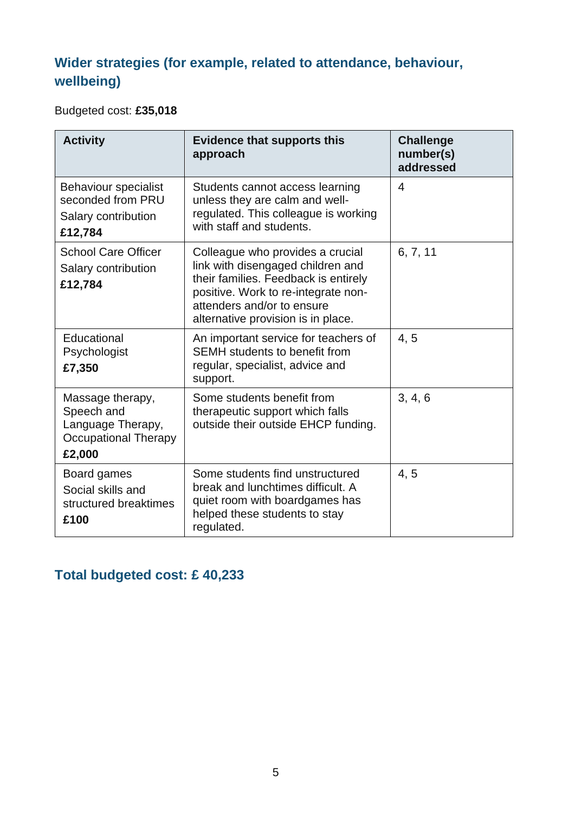## **Wider strategies (for example, related to attendance, behaviour, wellbeing)**

Budgeted cost: **£35,018**

| <b>Activity</b>                                                                              | <b>Evidence that supports this</b><br>approach                                                                                                                                                                           | <b>Challenge</b><br>number(s)<br>addressed |
|----------------------------------------------------------------------------------------------|--------------------------------------------------------------------------------------------------------------------------------------------------------------------------------------------------------------------------|--------------------------------------------|
| <b>Behaviour specialist</b><br>seconded from PRU<br>Salary contribution<br>£12,784           | Students cannot access learning<br>unless they are calm and well-<br>regulated. This colleague is working<br>with staff and students.                                                                                    | $\overline{4}$                             |
| <b>School Care Officer</b><br>Salary contribution<br>£12,784                                 | Colleague who provides a crucial<br>link with disengaged children and<br>their families. Feedback is entirely<br>positive. Work to re-integrate non-<br>attenders and/or to ensure<br>alternative provision is in place. | 6, 7, 11                                   |
| Educational<br>Psychologist<br>£7,350                                                        | An important service for teachers of<br><b>SEMH</b> students to benefit from<br>regular, specialist, advice and<br>support.                                                                                              | 4.5                                        |
| Massage therapy,<br>Speech and<br>Language Therapy,<br><b>Occupational Therapy</b><br>£2,000 | Some students benefit from<br>therapeutic support which falls<br>outside their outside EHCP funding.                                                                                                                     | 3, 4, 6                                    |
| Board games<br>Social skills and<br>structured breaktimes<br>£100                            | Some students find unstructured<br>break and lunchtimes difficult. A<br>quiet room with boardgames has<br>helped these students to stay<br>regulated.                                                                    | 4, 5                                       |

**Total budgeted cost: £ 40,233**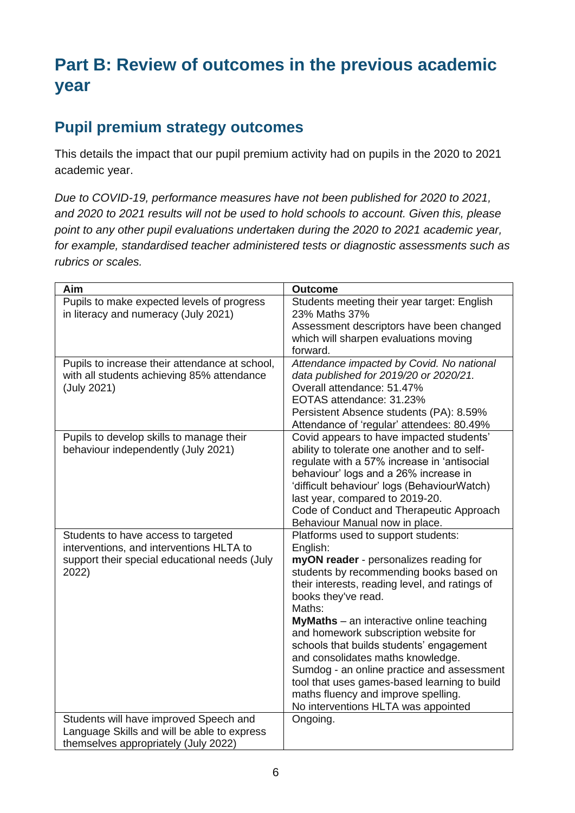# **Part B: Review of outcomes in the previous academic year**

## **Pupil premium strategy outcomes**

This details the impact that our pupil premium activity had on pupils in the 2020 to 2021 academic year.

*Due to COVID-19, performance measures have not been published for 2020 to 2021, and 2020 to 2021 results will not be used to hold schools to account. Given this, please point to any other pupil evaluations undertaken during the 2020 to 2021 academic year, for example, standardised teacher administered tests or diagnostic assessments such as rubrics or scales.*

| Aim                                                                                                                                       | <b>Outcome</b>                                                                                                                                                                                                                                                                                                                                                                                                                                                                                                                                                                   |
|-------------------------------------------------------------------------------------------------------------------------------------------|----------------------------------------------------------------------------------------------------------------------------------------------------------------------------------------------------------------------------------------------------------------------------------------------------------------------------------------------------------------------------------------------------------------------------------------------------------------------------------------------------------------------------------------------------------------------------------|
| Pupils to make expected levels of progress<br>in literacy and numeracy (July 2021)                                                        | Students meeting their year target: English<br>23% Maths 37%                                                                                                                                                                                                                                                                                                                                                                                                                                                                                                                     |
|                                                                                                                                           | Assessment descriptors have been changed<br>which will sharpen evaluations moving<br>forward.                                                                                                                                                                                                                                                                                                                                                                                                                                                                                    |
| Pupils to increase their attendance at school,<br>with all students achieving 85% attendance<br>(July 2021)                               | Attendance impacted by Covid. No national<br>data published for 2019/20 or 2020/21.<br>Overall attendance: 51.47%<br>EOTAS attendance: 31.23%<br>Persistent Absence students (PA): 8.59%<br>Attendance of 'regular' attendees: 80.49%                                                                                                                                                                                                                                                                                                                                            |
| Pupils to develop skills to manage their<br>behaviour independently (July 2021)                                                           | Covid appears to have impacted students'<br>ability to tolerate one another and to self-<br>regulate with a 57% increase in 'antisocial<br>behaviour' logs and a 26% increase in<br>'difficult behaviour' logs (BehaviourWatch)<br>last year, compared to 2019-20.<br>Code of Conduct and Therapeutic Approach<br>Behaviour Manual now in place.                                                                                                                                                                                                                                 |
| Students to have access to targeted<br>interventions, and interventions HLTA to<br>support their special educational needs (July<br>2022) | Platforms used to support students:<br>English:<br>myON reader - personalizes reading for<br>students by recommending books based on<br>their interests, reading level, and ratings of<br>books they've read.<br>Maths:<br><b>MyMaths</b> – an interactive online teaching<br>and homework subscription website for<br>schools that builds students' engagement<br>and consolidates maths knowledge.<br>Sumdog - an online practice and assessment<br>tool that uses games-based learning to build<br>maths fluency and improve spelling.<br>No interventions HLTA was appointed |
| Students will have improved Speech and<br>Language Skills and will be able to express<br>themselves appropriately (July 2022)             | Ongoing.                                                                                                                                                                                                                                                                                                                                                                                                                                                                                                                                                                         |